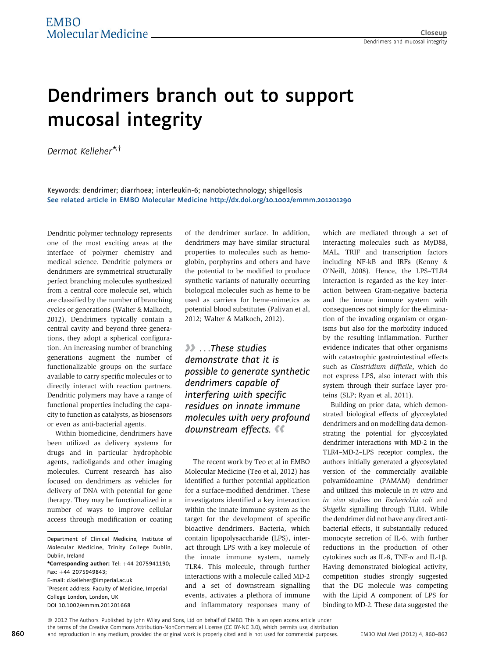## Dendrimers branch out to support mucosal integrity

Dermot Kelleher $*$ ,

Keywords: dendrimer; diarrhoea; interleukin-6; nanobiotechnology; shigellosis See related article in EMBO Molecular Medicine http://dx.doi.org/10.1002/emmm.201201290

Dendritic polymer technology represents one of the most exciting areas at the interface of polymer chemistry and medical science. Dendritic polymers or dendrimers are symmetrical structurally perfect branching molecules synthesized from a central core molecule set, which are classified by the number of branching cycles or generations (Walter & Malkoch, 2012). Dendrimers typically contain a central cavity and beyond three generations, they adopt a spherical configuration. An increasing number of branching generations augment the number of functionalizable groups on the surface available to carry specific molecules or to directly interact with reaction partners. Dendritic polymers may have a range of functional properties including the capacity to function as catalysts, as biosensors or even as anti-bacterial agents.

Within biomedicine, dendrimers have been utilized as delivery systems for drugs and in particular hydrophobic agents, radioligands and other imaging molecules. Current research has also focused on dendrimers as vehicles for delivery of DNA with potential for gene therapy. They may be functionalized in a number of ways to improve cellular access through modification or coating

of the dendrimer surface. In addition, dendrimers may have similar structural properties to molecules such as hemoglobin, porphyrins and others and have the potential to be modified to produce synthetic variants of naturally occurring biological molecules such as heme to be used as carriers for heme-mimetics as potential blood substitutes (Palivan et al, 2012; Walter & Malkoch, 2012).

» ...These studies demonstrate that it is possible to generate synthetic dendrimers capable of interfering with specific residues on innate immune molecules with very profound downstream effects. «

The recent work by Teo et al in EMBO Molecular Medicine (Teo et al, 2012) has identified a further potential application for a surface-modified dendrimer. These investigators identified a key interaction within the innate immune system as the target for the development of specific bioactive dendrimers. Bacteria, which contain lipopolysaccharide (LPS), interact through LPS with a key molecule of the innate immune system, namely TLR4. This molecule, through further interactions with a molecule called MD-2 and a set of downstream signalling events, activates a plethora of immune and inflammatory responses many of

which are mediated through a set of interacting molecules such as MyD88, MAL, TRIF and transcription factors including NF-kB and IRFs (Kenny & O'Neill, 2008). Hence, the LPS–TLR4 interaction is regarded as the key interaction between Gram-negative bacteria and the innate immune system with consequences not simply for the elimination of the invading organism or organisms but also for the morbidity induced by the resulting inflammation. Further evidence indicates that other organisms with catastrophic gastrointestinal effects such as Clostridium difficile, which do not express LPS, also interact with this system through their surface layer proteins (SLP; Ryan et al, 2011).

Building on prior data, which demonstrated biological effects of glycosylated dendrimers and on modelling data demonstrating the potential for glycosylated dendrimer interactions with MD-2 in the TLR4–MD-2–LPS receptor complex, the authors initially generated a glycosylated version of the commercially available polyamidoamine (PAMAM) dendrimer and utilized this molecule in in vitro and in vivo studies on Escherichia coli and Shigella signalling through TLR4. While the dendrimer did not have any direct antibacterial effects, it substantially reduced monocyte secretion of IL-6, with further reductions in the production of other cytokines such as IL-8, TNF- $\alpha$  and IL-1 $\beta$ . Having demonstrated biological activity, competition studies strongly suggested that the DG molecule was competing with the Lipid A component of LPS for binding to MD-2. These data suggested the

 2012 The Authors. Published by John Wiley and Sons, Ltd on behalf of EMBO. This is an open access article under the terms of the Creative Commons Attribution-NonCommercial License (CC BY-NC 3.0), which permits use, distribution 860 and reproduction in any medium, provided the original work is properly cited and is not used for commercial purposes. EMBO Mol Med (2012) 4, 860–862

Department of Clinical Medicine, Institute of Molecular Medicine, Trinity College Dublin, Dublin, Ireland

<sup>\*</sup>Corresponding author: Tel:  $+44$  2075941190; Fax:  $+44$  2075949843:

E-mail: d.kelleher@imperial.ac.uk

<sup>&</sup>lt;sup>†</sup>Present address: Faculty of Medicine, Imperial College London, London, UK DOI 10.1002/emmm.201201668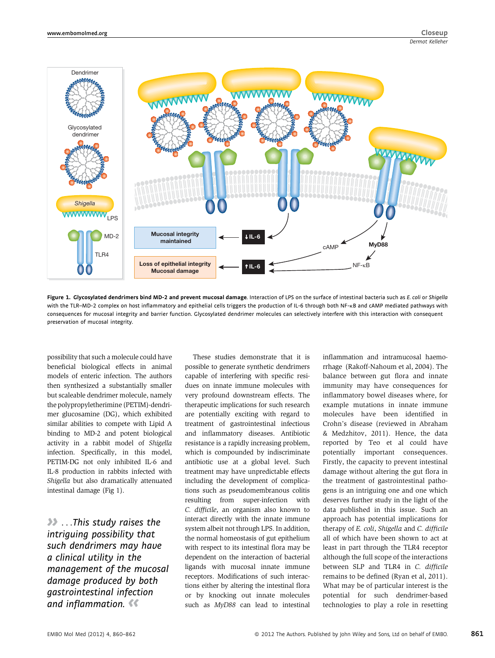

Figure 1. Glycosylated dendrimers bind MD-2 and prevent mucosal damage. Interaction of LPS on the surface of intestinal bacteria such as E. coli or Shigella with the TLR–MD-2 complex on host inflammatory and epithelial cells triggers the production of IL-6 through both NF-kB and cAMP mediated pathways with consequences for mucosal integrity and barrier function. Glycosylated dendrimer molecules can selectively interfere with this interaction with consequent preservation of mucosal integrity.

possibility that such a molecule could have beneficial biological effects in animal models of enteric infection. The authors then synthesized a substantially smaller but scaleable dendrimer molecule, namely the polypropyletherimine (PETIM)-dendrimer glucosamine (DG), which exhibited similar abilities to compete with Lipid A binding to MD-2 and potent biological activity in a rabbit model of Shigella infection. Specifically, in this model, PETIM-DG not only inhibited IL-6 and IL-8 production in rabbits infected with Shigella but also dramatically attenuated intestinal damage (Fig 1).

» ...This study raises the intriguing possibility that such dendrimers may have a clinical utility in the management of the mucosal damage produced by both gastrointestinal infection and inflammation. «

These studies demonstrate that it is possible to generate synthetic dendrimers capable of interfering with specific residues on innate immune molecules with very profound downstream effects. The therapeutic implications for such research are potentially exciting with regard to treatment of gastrointestinal infectious and inflammatory diseases. Antibiotic resistance is a rapidly increasing problem, which is compounded by indiscriminate antibiotic use at a global level. Such treatment may have unpredictable effects including the development of complications such as pseudomembranous colitis resulting from super-infection with C. difficile, an organism also known to interact directly with the innate immune system albeit not through LPS. In addition, the normal homeostasis of gut epithelium with respect to its intestinal flora may be dependent on the interaction of bacterial ligands with mucosal innate immune receptors. Modifications of such interactions either by altering the intestinal flora or by knocking out innate molecules such as MyD88 can lead to intestinal

inflammation and intramucosal haemorrhage (Rakoff-Nahoum et al, 2004). The balance between gut flora and innate immunity may have consequences for inflammatory bowel diseases where, for example mutations in innate immune molecules have been identified in Crohn's disease (reviewed in Abraham & Medzhitov, 2011). Hence, the data reported by Teo et al could have potentially important consequences. Firstly, the capacity to prevent intestinal damage without altering the gut flora in the treatment of gastrointestinal pathogens is an intriguing one and one which deserves further study in the light of the data published in this issue. Such an approach has potential implications for therapy of E. coli, Shigella and C. difficile all of which have been shown to act at least in part through the TLR4 receptor although the full scope of the interactions between SLP and TLR4 in C. difficile remains to be defined (Ryan et al, 2011). What may be of particular interest is the potential for such dendrimer-based technologies to play a role in resetting